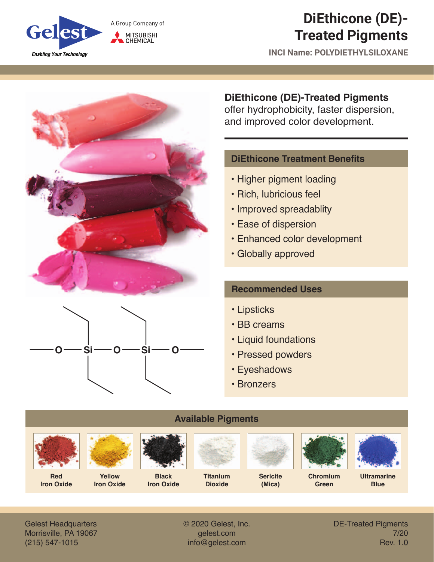

# **DiEthicone (DE)- Treated Pigments**

**INCI Name: POLYDIETHYLSILOXANE**





## **DiEthicone (DE)-Treated Pigments**

offer hydrophobicity, faster dispersion, and improved color development.

#### **DiEthicone Treatment Benefits**

- Higher pigment loading
- Rich, lubricious feel
- Improved spreadablity
- Ease of dispersion
- Enhanced color development
- Globally approved

#### **Recommended Uses**

- Lipsticks
- BB creams
- Liquid foundations
- Pressed powders
- Eyeshadows
- Bronzers



Gelest Headquarters Morrisville, PA 19067 (215) 547-1015

© 2020 Gelest, Inc. gelest.com info@gelest.com

DE-Treated Pigments 7/20 Rev. 1.0